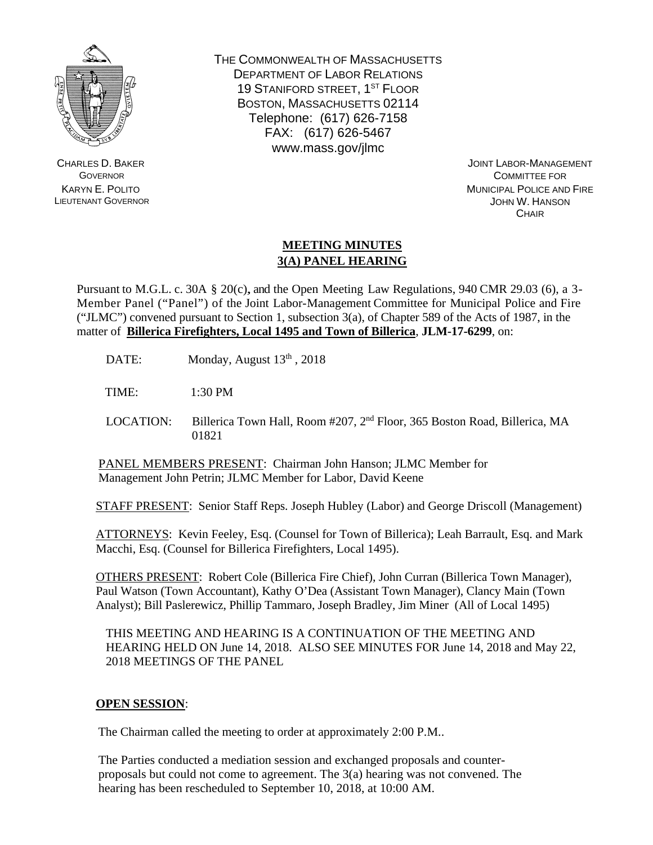

CHARLES D. BAKER **GOVERNOR** KARYN E. POLITO LIEUTENANT GOVERNOR THE COMMONWEALTH OF MASSACHUSETTS DEPARTMENT OF LABOR RELATIONS 19 STANIFORD STREET, 1ST FLOOR BOSTON, MASSACHUSETTS 02114 Telephone: (617) 626-7158 FAX: (617) 626-5467 www.mass.gov/jlmc

> JOINT LABOR-MANAGEMENT COMMITTEE FOR MUNICIPAL POLICE AND FIRE JOHN W. HANSON **CHAIR**

## **MEETING MINUTES 3(A) PANEL HEARING**

Pursuant to M.G.L. c. 30A § 20(c), and the Open Meeting Law Regulations, 940 CMR 29.03 (6), a 3- Member Panel ("Panel") of the Joint Labor-Management Committee for Municipal Police and Fire ("JLMC") convened pursuant to Section 1, subsection  $3(a)$ , of Chapter 589 of the Acts of 1987, in the matter of **Billerica Firefighters, Local 1495 and Town of Billerica**, **JLM-17-6299**, on:

DATE: Monday, August 13<sup>th</sup>, 2018

TIME: 1:30 PM

LOCATION: Billerica Town Hall, Room #207, 2<sup>nd</sup> Floor, 365 Boston Road, Billerica, MA 01821

PANEL MEMBERS PRESENT: Chairman John Hanson; JLMC Member for Management John Petrin; JLMC Member for Labor, David Keene

STAFF PRESENT: Senior Staff Reps. Joseph Hubley (Labor) and George Driscoll (Management)

ATTORNEYS: Kevin Feeley, Esq. (Counsel for Town of Billerica); Leah Barrault, Esq. and Mark Macchi, Esq. (Counsel for Billerica Firefighters, Local 1495).

OTHERS PRESENT: Robert Cole (Billerica Fire Chief), John Curran (Billerica Town Manager), Paul Watson (Town Accountant), Kathy O'Dea (Assistant Town Manager), Clancy Main (Town Analyst); Bill Paslerewicz, Phillip Tammaro, Joseph Bradley, Jim Miner (All of Local 1495)

THIS MEETING AND HEARING IS A CONTINUATION OF THE MEETING AND HEARING HELD ON June 14, 2018. ALSO SEE MINUTES FOR June 14, 2018 and May 22, 2018 MEETINGS OF THE PANEL

## **OPEN SESSION**:

The Chairman called the meeting to order at approximately 2:00 P.M..

The Parties conducted a mediation session and exchanged proposals and counterproposals but could not come to agreement. The 3(a) hearing was not convened. The hearing has been rescheduled to September 10, 2018, at 10:00 AM.